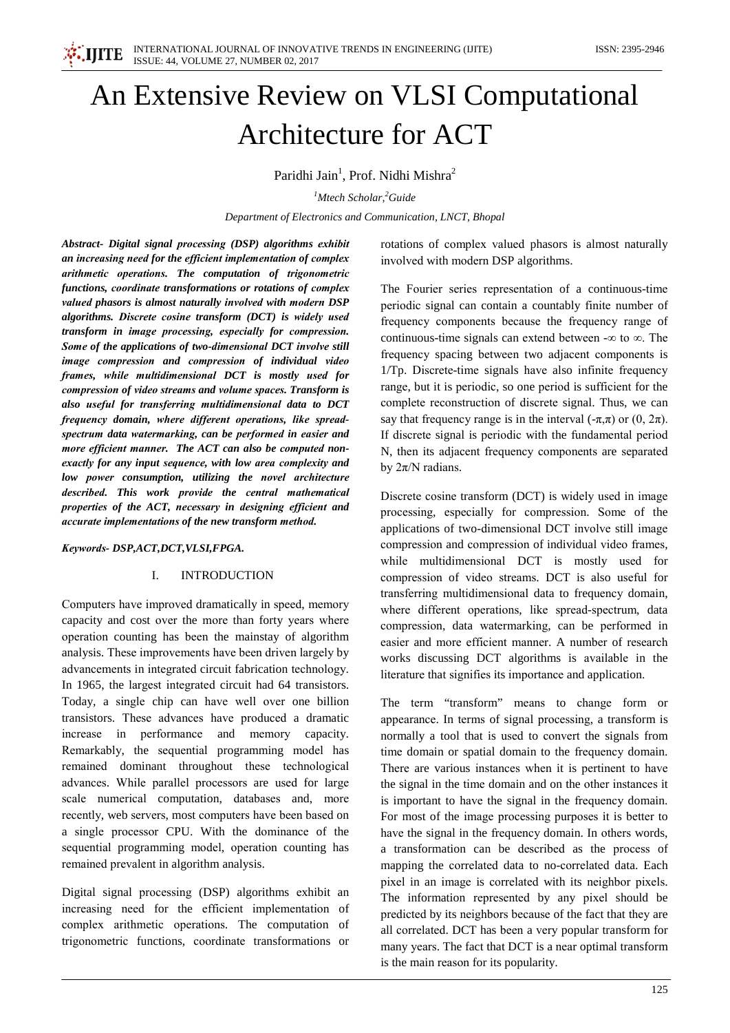

# An Extensive Review on VLSI Computational **Architecture for ACT**

Paridhi Jain<sup>1</sup>, Prof. Nidhi Mishra<sup>2</sup>

 $<sup>1</sup>$ Mtech Scholar,  $<sup>2</sup>$ Guide</sup></sup>

Department of Electronics and Communication, LNCT, Bhopal

Abstract- Digital signal processing (DSP) algorithms exhibit an increasing need for the efficient implementation of complex arithmetic operations. The computation of trigonometric functions, coordinate transformations or rotations of complex valued phasors is almost naturally involved with modern DSP algorithms. Discrete cosine transform (DCT) is widely used transform in image processing, especially for compression. Some of the applications of two-dimensional DCT involve still image compression and compression of individual video frames, while multidimensional DCT is mostly used for compression of video streams and volume spaces. Transform is also useful for transferring multidimensional data to DCT frequency domain, where different operations, like spreadspectrum data watermarking, can be performed in easier and more efficient manner. The ACT can also be computed nonexactly for any input sequence, with low area complexity and low power consumption, utilizing the novel architecture described. This work provide the central mathematical properties of the ACT, necessary in designing efficient and accurate implementations of the new transform method.

# Keywords-DSP, ACT, DCT, VLSI, FPGA.

## **INTRODUCTION**  $\mathbf{I}$

Computers have improved dramatically in speed, memory capacity and cost over the more than forty years where operation counting has been the mainstay of algorithm analysis. These improvements have been driven largely by advancements in integrated circuit fabrication technology. In 1965, the largest integrated circuit had 64 transistors. Today, a single chip can have well over one billion transistors. These advances have produced a dramatic increase in performance and memory capacity. Remarkably, the sequential programming model has remained dominant throughout these technological advances. While parallel processors are used for large scale numerical computation, databases and, more recently, web servers, most computers have been based on a single processor CPU. With the dominance of the sequential programming model, operation counting has remained prevalent in algorithm analysis.

Digital signal processing (DSP) algorithms exhibit an increasing need for the efficient implementation of complex arithmetic operations. The computation of trigonometric functions, coordinate transformations or

rotations of complex valued phasors is almost naturally involved with modern DSP algorithms.

The Fourier series representation of a continuous-time periodic signal can contain a countably finite number of frequency components because the frequency range of continuous-time signals can extend between  $-\infty$  to  $\infty$ . The frequency spacing between two adjacent components is 1/Tp. Discrete-time signals have also infinite frequency range, but it is periodic, so one period is sufficient for the complete reconstruction of discrete signal. Thus, we can say that frequency range is in the interval  $(-\pi,\pi)$  or  $(0, 2\pi)$ . If discrete signal is periodic with the fundamental period N, then its adjacent frequency components are separated by  $2\pi/N$  radians.

Discrete cosine transform (DCT) is widely used in image processing, especially for compression. Some of the applications of two-dimensional DCT involve still image compression and compression of individual video frames, while multidimensional DCT is mostly used for compression of video streams. DCT is also useful for transferring multidimensional data to frequency domain, where different operations, like spread-spectrum, data compression, data watermarking, can be performed in easier and more efficient manner. A number of research works discussing DCT algorithms is available in the literature that signifies its importance and application.

The term "transform" means to change form or appearance. In terms of signal processing, a transform is normally a tool that is used to convert the signals from time domain or spatial domain to the frequency domain. There are various instances when it is pertinent to have the signal in the time domain and on the other instances it is important to have the signal in the frequency domain. For most of the image processing purposes it is better to have the signal in the frequency domain. In others words, a transformation can be described as the process of mapping the correlated data to no-correlated data. Each pixel in an image is correlated with its neighbor pixels. The information represented by any pixel should be predicted by its neighbors because of the fact that they are all correlated. DCT has been a very popular transform for many years. The fact that DCT is a near optimal transform is the main reason for its popularity.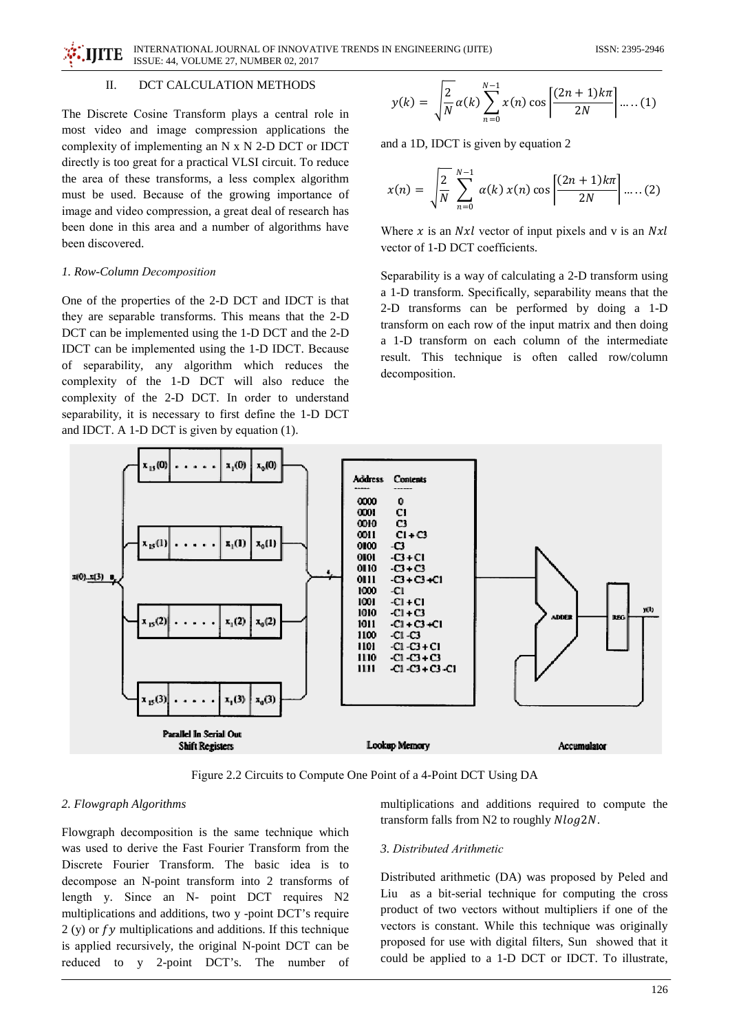INTERNATIONAL JOURNAL OF INNOVATIVE TRENDS IN ENGINEERING (IJITE) **IIITE** ISSUE: 44, VOLUME 27, NUMBER 02, 2017

#### $\mathbf{H}$ DCT CALCULATION METHODS

The Discrete Cosine Transform plays a central role in most video and image compression applications the complexity of implementing an  $N \times N$  2-D DCT or IDCT directly is too great for a practical VLSI circuit. To reduce the area of these transforms, a less complex algorithm must be used. Because of the growing importance of image and video compression, a great deal of research has been done in this area and a number of algorithms have been discovered.

# 1. Row-Column Decomposition

One of the properties of the 2-D DCT and IDCT is that they are separable transforms. This means that the 2-D DCT can be implemented using the 1-D DCT and the 2-D IDCT can be implemented using the 1-D IDCT. Because of separability, any algorithm which reduces the complexity of the 1-D DCT will also reduce the complexity of the 2-D DCT. In order to understand separability, it is necessary to first define the 1-D DCT and IDCT. A 1-D DCT is given by equation  $(1)$ .

$$
y(k) = \sqrt{\frac{2}{N}} \alpha(k) \sum_{n=0}^{N-1} x(n) \cos \left[\frac{(2n+1)k\pi}{2N}\right] \dots (1)
$$

and a 1D, IDCT is given by equation 2

$$
x(n) = \sqrt{\frac{2}{N}} \sum_{n=0}^{N-1} \alpha(k) x(n) \cos \left[ \frac{(2n+1)k\pi}{2N} \right] \dots (2)
$$

Where  $x$  is an *Nxl* vector of input pixels and v is an *Nxl* vector of 1-D DCT coefficients.

Separability is a way of calculating a 2-D transform using a 1-D transform. Specifically, separability means that the 2-D transforms can be performed by doing a 1-D transform on each row of the input matrix and then doing a 1-D transform on each column of the intermediate result. This technique is often called row/column decomposition.



Figure 2.2 Circuits to Compute One Point of a 4-Point DCT Using DA

# 2. Flowgraph Algorithms

Flowgraph decomposition is the same technique which was used to derive the Fast Fourier Transform from the Discrete Fourier Transform. The basic idea is to decompose an N-point transform into 2 transforms of length y. Since an N- point DCT requires N2 multiplications and additions, two y -point DCT's require  $2(y)$  or  $fy$  multiplications and additions. If this technique is applied recursively, the original N-point DCT can be reduced to y 2-point DCT's. The number of multiplications and additions required to compute the transform falls from N2 to roughly Nlog2N.

## 3. Distributed Arithmetic

Distributed arithmetic (DA) was proposed by Peled and Liu as a bit-serial technique for computing the cross product of two vectors without multipliers if one of the vectors is constant. While this technique was originally proposed for use with digital filters, Sun showed that it could be applied to a 1-D DCT or IDCT. To illustrate,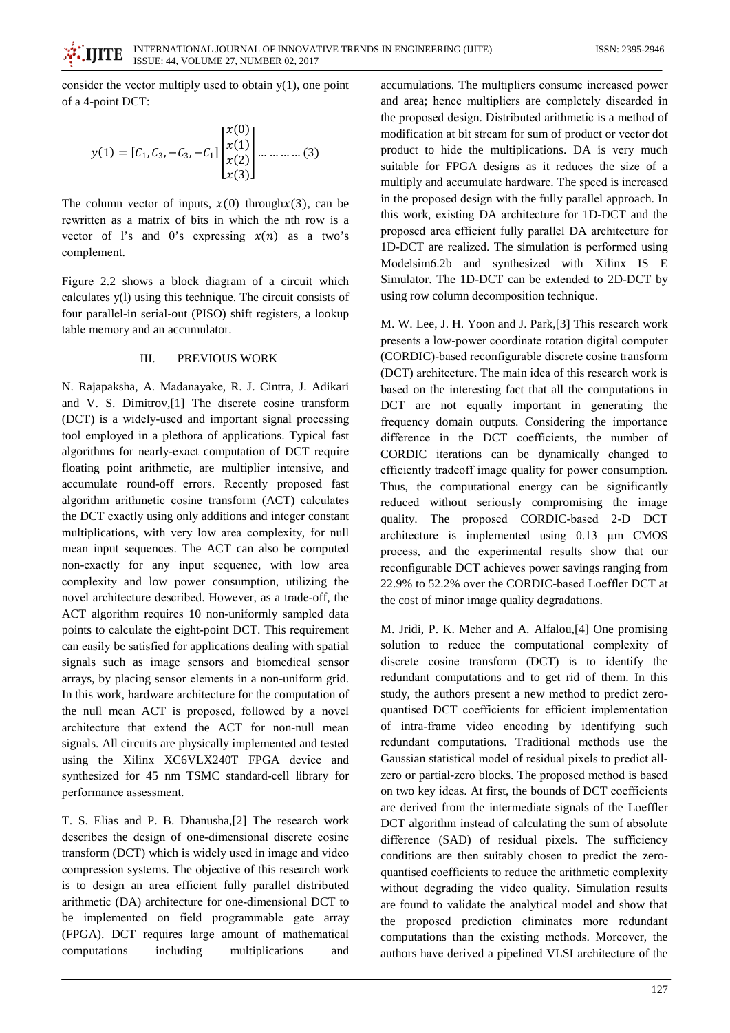consider the vector multiply used to obtain  $y(1)$ , one point of a 4-point DCT:

$$
y(1) = [C_1, C_3, -C_3, -C_1] \begin{bmatrix} x(0) \\ x(1) \\ x(2) \\ x(3) \end{bmatrix} \dots \dots \dots \dots (3)
$$

The column vector of inputs,  $x(0)$  through  $x(3)$ , can be rewritten as a matrix of bits in which the nth row is a vector of l's and 0's expressing  $x(n)$  as a two's complement.

Figure 2.2 shows a block diagram of a circuit which calculates y(1) using this technique. The circuit consists of four parallel-in serial-out (PISO) shift registers, a lookup table memory and an accumulator.

### $III$ PREVIOUS WORK

N. Rajapaksha, A. Madanayake, R. J. Cintra, J. Adikari and V. S. Dimitrov, [1] The discrete cosine transform (DCT) is a widely-used and important signal processing tool employed in a plethora of applications. Typical fast algorithms for nearly-exact computation of DCT require floating point arithmetic, are multiplier intensive, and accumulate round-off errors. Recently proposed fast algorithm arithmetic cosine transform (ACT) calculates the DCT exactly using only additions and integer constant multiplications, with very low area complexity, for null mean input sequences. The ACT can also be computed non-exactly for any input sequence, with low area complexity and low power consumption, utilizing the novel architecture described. However, as a trade-off, the ACT algorithm requires 10 non-uniformly sampled data points to calculate the eight-point DCT. This requirement can easily be satisfied for applications dealing with spatial signals such as image sensors and biomedical sensor arrays, by placing sensor elements in a non-uniform grid. In this work, hardware architecture for the computation of the null mean ACT is proposed, followed by a novel architecture that extend the ACT for non-null mean signals. All circuits are physically implemented and tested using the Xilinx XC6VLX240T FPGA device and synthesized for 45 nm TSMC standard-cell library for performance assessment.

T. S. Elias and P. B. Dhanusha, [2] The research work describes the design of one-dimensional discrete cosine transform (DCT) which is widely used in image and video compression systems. The objective of this research work is to design an area efficient fully parallel distributed arithmetic (DA) architecture for one-dimensional DCT to be implemented on field programmable gate array (FPGA). DCT requires large amount of mathematical computations including multiplications and accumulations. The multipliers consume increased power and area; hence multipliers are completely discarded in the proposed design. Distributed arithmetic is a method of modification at bit stream for sum of product or vector dot product to hide the multiplications. DA is very much suitable for FPGA designs as it reduces the size of a multiply and accumulate hardware. The speed is increased in the proposed design with the fully parallel approach. In this work, existing DA architecture for 1D-DCT and the proposed area efficient fully parallel DA architecture for 1D-DCT are realized. The simulation is performed using Modelsim6.2b and synthesized with Xilinx IS E Simulator. The 1D-DCT can be extended to 2D-DCT by using row column decomposition technique.

M. W. Lee, J. H. Yoon and J. Park, [3] This research work presents a low-power coordinate rotation digital computer (CORDIC)-based reconfigurable discrete cosine transform (DCT) architecture. The main idea of this research work is based on the interesting fact that all the computations in DCT are not equally important in generating the frequency domain outputs. Considering the importance difference in the DCT coefficients, the number of CORDIC iterations can be dynamically changed to efficiently tradeoff image quality for power consumption. Thus, the computational energy can be significantly reduced without seriously compromising the image quality. The proposed CORDIC-based 2-D DCT architecture is implemented using  $0.13 \mu m$  CMOS process, and the experimental results show that our reconfigurable DCT achieves power savings ranging from 22.9% to 52.2% over the CORDIC-based Loeffler DCT at the cost of minor image quality degradations.

M. Jridi, P. K. Meher and A. Alfalou, [4] One promising solution to reduce the computational complexity of discrete cosine transform (DCT) is to identify the redundant computations and to get rid of them. In this study, the authors present a new method to predict zeroquantised DCT coefficients for efficient implementation of intra-frame video encoding by identifying such redundant computations. Traditional methods use the Gaussian statistical model of residual pixels to predict allzero or partial-zero blocks. The proposed method is based on two key ideas. At first, the bounds of DCT coefficients are derived from the intermediate signals of the Loeffler DCT algorithm instead of calculating the sum of absolute difference (SAD) of residual pixels. The sufficiency conditions are then suitably chosen to predict the zeroquantised coefficients to reduce the arithmetic complexity without degrading the video quality. Simulation results are found to validate the analytical model and show that the proposed prediction eliminates more redundant computations than the existing methods. Moreover, the authors have derived a pipelined VLSI architecture of the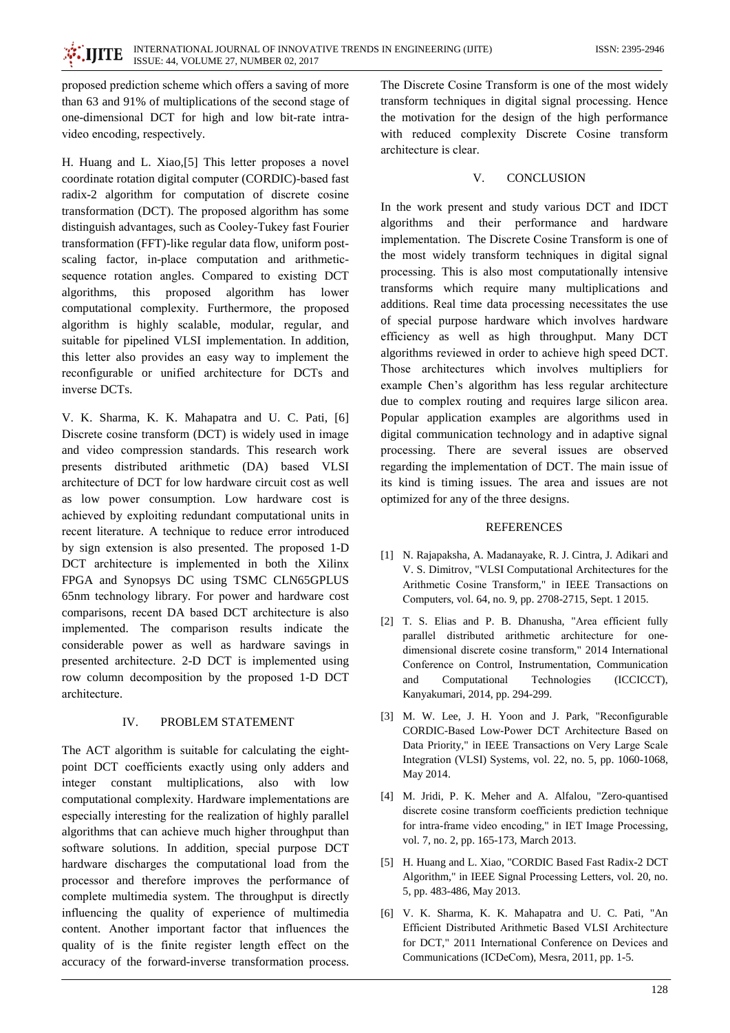proposed prediction scheme which offers a saving of more than 63 and 91% of multiplications of the second stage of one-dimensional DCT for high and low bit-rate intravideo encoding, respectively.

H. Huang and L. Xiao, [5] This letter proposes a novel coordinate rotation digital computer (CORDIC)-based fast radix-2 algorithm for computation of discrete cosine transformation (DCT). The proposed algorithm has some distinguish advantages, such as Cooley-Tukey fast Fourier transformation (FFT)-like regular data flow, uniform postscaling factor, in-place computation and arithmeticsequence rotation angles. Compared to existing DCT algorithms, this proposed algorithm has lower computational complexity. Furthermore, the proposed algorithm is highly scalable, modular, regular, and suitable for pipelined VLSI implementation. In addition, this letter also provides an easy way to implement the reconfigurable or unified architecture for DCTs and inverse DCTs.

V. K. Sharma, K. K. Mahapatra and U. C. Pati, [6] Discrete cosine transform (DCT) is widely used in image and video compression standards. This research work presents distributed arithmetic (DA) based VLSI architecture of DCT for low hardware circuit cost as well as low power consumption. Low hardware cost is achieved by exploiting redundant computational units in recent literature. A technique to reduce error introduced by sign extension is also presented. The proposed 1-D DCT architecture is implemented in both the Xilinx FPGA and Synopsys DC using TSMC CLN65GPLUS 65nm technology library. For power and hardware cost comparisons, recent DA based DCT architecture is also implemented. The comparison results indicate the considerable power as well as hardware savings in presented architecture. 2-D DCT is implemented using row column decomposition by the proposed 1-D DCT architecture.

## $\mathbf{I} \mathbf{V}$ PROBLEM STATEMENT

The ACT algorithm is suitable for calculating the eightpoint DCT coefficients exactly using only adders and integer constant multiplications, also with low computational complexity. Hardware implementations are especially interesting for the realization of highly parallel algorithms that can achieve much higher throughput than software solutions. In addition, special purpose DCT hardware discharges the computational load from the processor and therefore improves the performance of complete multimedia system. The throughput is directly influencing the quality of experience of multimedia content. Another important factor that influences the quality of is the finite register length effect on the accuracy of the forward-inverse transformation process.

The Discrete Cosine Transform is one of the most widely transform techniques in digital signal processing. Hence the motivation for the design of the high performance with reduced complexity Discrete Cosine transform architecture is clear.

## $\mathbf{V}$ **CONCLUSION**

In the work present and study various DCT and IDCT algorithms and their performance and hardware implementation. The Discrete Cosine Transform is one of the most widely transform techniques in digital signal processing. This is also most computationally intensive transforms which require many multiplications and additions. Real time data processing necessitates the use of special purpose hardware which involves hardware efficiency as well as high throughput. Many DCT algorithms reviewed in order to achieve high speed DCT. Those architectures which involves multipliers for example Chen's algorithm has less regular architecture due to complex routing and requires large silicon area. Popular application examples are algorithms used in digital communication technology and in adaptive signal processing. There are several issues are observed regarding the implementation of DCT. The main issue of its kind is timing issues. The area and issues are not optimized for any of the three designs.

# **REFERENCES**

- [1] N. Rajapaksha, A. Madanayake, R. J. Cintra, J. Adikari and V. S. Dimitrov, "VLSI Computational Architectures for the Arithmetic Cosine Transform," in IEEE Transactions on Computers, vol. 64, no. 9, pp. 2708-2715, Sept. 1 2015.
- [2] T. S. Elias and P. B. Dhanusha, "Area efficient fully parallel distributed arithmetic architecture for onedimensional discrete cosine transform," 2014 International Conference on Control, Instrumentation, Communication and Computational Technologies (ICCICCT), Kanyakumari, 2014, pp. 294-299.
- [3] M. W. Lee, J. H. Yoon and J. Park, "Reconfigurable CORDIC-Based Low-Power DCT Architecture Based on Data Priority," in IEEE Transactions on Very Large Scale Integration (VLSI) Systems, vol. 22, no. 5, pp. 1060-1068, May 2014.
- [4] M. Jridi, P. K. Meher and A. Alfalou, "Zero-quantised discrete cosine transform coefficients prediction technique for intra-frame video encoding," in IET Image Processing, vol. 7, no. 2, pp. 165-173, March 2013.
- [5] H. Huang and L. Xiao, "CORDIC Based Fast Radix-2 DCT Algorithm," in IEEE Signal Processing Letters, vol. 20, no. 5, pp. 483-486, May 2013.
- [6] V. K. Sharma, K. K. Mahapatra and U. C. Pati, "An Efficient Distributed Arithmetic Based VLSI Architecture for DCT," 2011 International Conference on Devices and Communications (ICDeCom), Mesra, 2011, pp. 1-5.